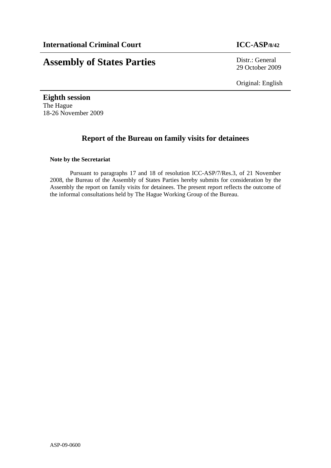# **Assembly of States Parties** Distr.: General

29 October 2009

Original: English

**Eighth session**  The Hague 18-26 November 2009

# **Report of the Bureau on family visits for detainees**

#### **Note by the Secretariat**

Pursuant to paragraphs 17 and 18 of resolution ICC-ASP/7/Res.3, of 21 November 2008, the Bureau of the Assembly of States Parties hereby submits for consideration by the Assembly the report on family visits for detainees. The present report reflects the outcome of the informal consultations held by The Hague Working Group of the Bureau.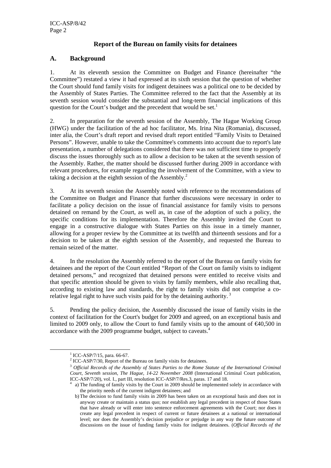### **Report of the Bureau on family visits for detainees**

#### **A. Background**

1. At its eleventh session the Committee on Budget and Finance (hereinafter "the Committee") restated a view it had expressed at its sixth session that the question of whether the Court should fund family visits for indigent detainees was a political one to be decided by the Assembly of States Parties. The Committee referred to the fact that the Assembly at its seventh session would consider the substantial and long-term financial implications of this question for the Court's budget and the precedent that would be set.<sup>1</sup>

2. In preparation for the seventh session of the Assembly, The Hague Working Group (HWG) under the facilitation of the ad hoc facilitator, Ms. Irina Nita (Romania), discussed, inter alia, the Court's draft report and revised draft report entitled "Family Visits to Detained Persons". However, unable to take the Committee's comments into account due to report's late presentation, a number of delegations considered that there was not sufficient time to properly discuss the issues thoroughly such as to allow a decision to be taken at the seventh session of the Assembly. Rather, the matter should be discussed further during 2009 in accordance with relevant procedures, for example regarding the involvement of the Committee, with a view to taking a decision at the eighth session of the Assembly.<sup>2</sup>

3. At its seventh session the Assembly noted with reference to the recommendations of the Committee on Budget and Finance that further discussions were necessary in order to facilitate a policy decision on the issue of financial assistance for family visits to persons detained on remand by the Court, as well as, in case of the adoption of such a policy, the specific conditions for its implementation. Therefore the Assembly invited the Court to engage in a constructive dialogue with States Parties on this issue in a timely manner, allowing for a proper review by the Committee at its twelfth and thirteenth sessions and for a decision to be taken at the eighth session of the Assembly, and requested the Bureau to remain seized of the matter.

4. In the resolution the Assembly referred to the report of the Bureau on family visits for detainees and the report of the Court entitled "Report of the Court on family visits to indigent detained persons," and recognized that detained persons were entitled to receive visits and that specific attention should be given to visits by family members, while also recalling that, according to existing law and standards, the right to family visits did not comprise a corelative legal right to have such visits paid for by the detaining authority.<sup>3</sup>

5. Pending the policy decision, the Assembly discussed the issue of family visits in the context of facilitation for the Court's budget for 2009 and agreed, on an exceptional basis and limited to 2009 only, to allow the Court to fund family visits up to the amount of  $\epsilon 40,500$  in accordance with the 2009 programme budget, subject to caveats.4

 $\frac{1}{1}$  $1$  ICC-ASP/7/15, para. 66-67.

 $^2$  ICC-ASP/7/30, Report of the Bureau on family visits for detainees.

<sup>3</sup> *Official Records of the Assembly of States Parties to the Rome Statute of the International Criminal Court, Seventh session, The Hague, 14-22 November 2008* (International Criminal Court publication, ICC-ASP/7/20), vol. I., part III, resolution ICC-ASP/7/Res.3, paras. 17 and 18.

a) The funding of family visits by the Court in 2009 should be implemented solely in accordance with the priority needs of the current indigent detainees; and

b) The decision to fund family visits in 2009 has been taken on an exceptional basis and does not in anyway create or maintain a status quo; nor establish any legal precedent in respect of those States that have already or will enter into sentence enforcement agreements with the Court; nor does it create any legal precedent in respect of current or future detainees at a national or international level; nor does the Assembly's decision prejudice or prejudge in any way the future outcome of discussions on the issue of funding family visits for indigent detainees. (*Official Records of the*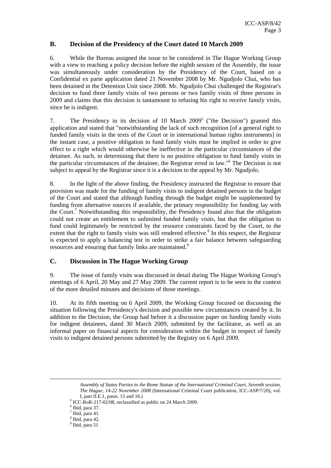#### **B. Decision of the Presidency of the Court dated 10 March 2009**

6. While the Bureau assigned the issue to be considered in The Hague Working Group with a view to reaching a policy decision before the eighth session of the Assembly, the issue was simultaneously under consideration by the Presidency of the Court, based on a Confidential ex parte application dated 21 November 2008 by Mr. Ngudjolo Chui, who has been detained in the Detention Unit since 2008. Mr. Ngudjolo Chui challenged the Registrar's decision to fund three family visits of two persons or two family visits of three persons in 2009 and claims that this decision is tantamount to refusing his right to receive family visits, since he is indigent.

7. The Presidency in its decision of 10 March  $2009<sup>5</sup>$  ("the Decision") granted this application and stated that "notwithstanding the lack of such recognition [of a general right to funded family visits in the texts of the Court or in international human rights instruments] in the instant case, a positive obligation to fund family visits must be implied in order to give effect to a right which would otherwise be ineffective in the particular circumstances of the detainee. As such, in determining that there is no positive obligation to fund family visits in the particular circumstances of the detainee, the Registrar erred in law."6 The Decision is not subject to appeal by the Registrar since it is a decision to the appeal by Mr. Ngudjolo.

8. In the light of the above finding, the Presidency instructed the Registrar to ensure that provision was made for the funding of family visits to indigent detained persons in the budget of the Court and stated that although funding through the budget might be supplemented by funding from alternative sources if available, the primary responsibility for funding lay with the Court.<sup>7</sup> Notwithstanding this responsibility, the Presidency found also that the obligation could not create an entitlement to unlimited funded family visits, but that the obligation to fund could legitimately be restricted by the resource constraints faced by the Court, to the extent that the right to family visits was still rendered effective.<sup>8</sup> In this respect, the Registrar is expected to apply a balancing test in order to strike a fair balance between safeguarding resources and ensuring that family links are maintained.<sup>9</sup>

## **C. Discussion in The Hague Working Group**

9. The issue of family visits was discussed in detail during The Hague Working Group's meetings of 6 April, 20 May and 27 May 2009. The current report is to be seen in the context of the more detailed minutes and decisions of those meetings.

10. At its fifth meeting on 6 April 2009, the Working Group focused on discussing the situation following the Presidency's decision and possible new circumstances created by it. In addition to the Decision, the Group had before it a discussion paper on funding family visits for indigent detainees, dated 30 March 2009, submitted by the facilitator, as well as an informal paper on financial aspects for consideration within the budget in respect of family visits to indigent detained persons submitted by the Registry on 6 April 2009.

 $\overline{a}$ 

*Assembly of States Parties to the Rome Statute of the International Criminal Court, Seventh session, The Hague, 14-22 November 2008* (International Criminal Court publication, ICC-ASP/7/20), vol. I, part II.E.1, paras.  $15$  and  $16$ .)

 $<sup>5</sup>$  ICC-RoR-217-02/08, reclassified as public on 24 March 2009.</sup>

 $<sup>6</sup>$  Ibid, para 37.</sup>

 $<sup>7</sup>$  Ibid, para 41.</sup>

<sup>8</sup> Ibid, para 42.

<sup>&</sup>lt;sup>9</sup> Ibid, para 51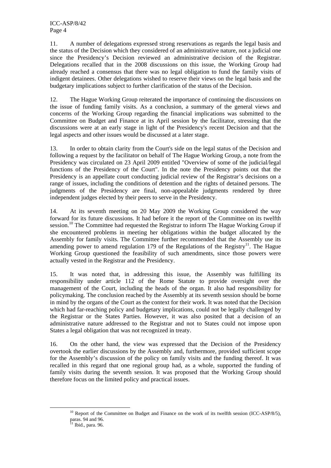11. A number of delegations expressed strong reservations as regards the legal basis and the status of the Decision which they considered of an administrative nature, not a judicial one since the Presidency's Decision reviewed an administrative decision of the Registrar. Delegations recalled that in the 2008 discussions on this issue, the Working Group had already reached a consensus that there was no legal obligation to fund the family visits of indigent detainees. Other delegations wished to reserve their views on the legal basis and the budgetary implications subject to further clarification of the status of the Decision.

12. The Hague Working Group reiterated the importance of continuing the discussions on the issue of funding family visits. As a conclusion, a summary of the general views and concerns of the Working Group regarding the financial implications was submitted to the Committee on Budget and Finance at its April session by the facilitator, stressing that the discussions were at an early stage in light of the Presidency's recent Decision and that the legal aspects and other issues would be discussed at a later stage.

13. In order to obtain clarity from the Court's side on the legal status of the Decision and following a request by the facilitator on behalf of The Hague Working Group, a note from the Presidency was circulated on 23 April 2009 entitled "Overview of some of the judicial/legal functions of the Presidency of the Court". In the note the Presidency points out that the Presidency is an appellate court conducting judicial review of the Registrar's decisions on a range of issues, including the conditions of detention and the rights of detained persons. The judgments of the Presidency are final, non-appealable judgments rendered by three independent judges elected by their peers to serve in the Presidency.

14. At its seventh meeting on 20 May 2009 the Working Group considered the way forward for its future discussions. It had before it the report of the Committee on its twelfth session.<sup>10</sup> The Committee had requested the Registrar to inform The Hague Working Group if she encountered problems in meeting her obligations within the budget allocated by the Assembly for family visits. The Committee further recommended that the Assembly use its amending power to amend regulation 179 of the Regulations of the Registry<sup>11</sup>. The Hague Working Group questioned the feasibility of such amendments, since those powers were actually vested in the Registrar and the Presidency.

15. It was noted that, in addressing this issue, the Assembly was fulfilling its responsibility under article 112 of the Rome Statute to provide oversight over the management of the Court, including the heads of the organ. It also had responsibility for policymaking. The conclusion reached by the Assembly at its seventh session should be borne in mind by the organs of the Court as the context for their work. It was noted that the Decision which had far-reaching policy and budgetary implications, could not be legally challenged by the Registrar or the States Parties. However, it was also posited that a decision of an administrative nature addressed to the Registrar and not to States could not impose upon States a legal obligation that was not recognized in treaty.

16. On the other hand, the view was expressed that the Decision of the Presidency overtook the earlier discussions by the Assembly and, furthermore, provided sufficient scope for the Assembly's discussion of the policy on family visits and the funding thereof. It was recalled in this regard that one regional group had, as a whole, supported the funding of family visits during the seventh session. It was proposed that the Working Group should therefore focus on the limited policy and practical issues.

 $10$  Report of the Committee on Budget and Finance on the work of its twelfth session (ICC-ASP/8/5), paras. 94 and 96.

 $11$  Ibid., para. 96.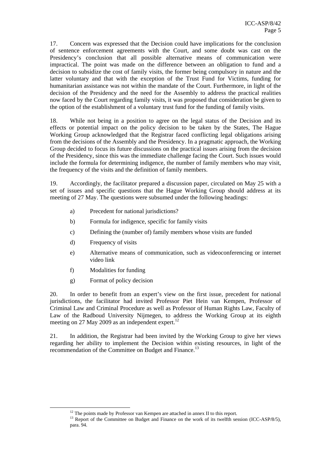17. Concern was expressed that the Decision could have implications for the conclusion of sentence enforcement agreements with the Court, and some doubt was cast on the Presidency's conclusion that all possible alternative means of communication were impractical. The point was made on the difference between an obligation to fund and a decision to subsidize the cost of family visits, the former being compulsory in nature and the latter voluntary and that with the exception of the Trust Fund for Victims, funding for humanitarian assistance was not within the mandate of the Court. Furthermore, in light of the decision of the Presidency and the need for the Assembly to address the practical realities now faced by the Court regarding family visits, it was proposed that consideration be given to the option of the establishment of a voluntary trust fund for the funding of family visits.

18. While not being in a position to agree on the legal status of the Decision and its effects or potential impact on the policy decision to be taken by the States, The Hague Working Group acknowledged that the Registrar faced conflicting legal obligations arising from the decisions of the Assembly and the Presidency. In a pragmatic approach, the Working Group decided to focus its future discussions on the practical issues arising from the decision of the Presidency, since this was the immediate challenge facing the Court. Such issues would include the formula for determining indigence, the number of family members who may visit, the frequency of the visits and the definition of family members.

19. Accordingly, the facilitator prepared a discussion paper, circulated on May 25 with a set of issues and specific questions that the Hague Working Group should address at its meeting of 27 May. The questions were subsumed under the following headings:

- a) Precedent for national jurisdictions?
- b) Formula for indigence, specific for family visits
- c) Defining the (number of) family members whose visits are funded
- d) Frequency of visits
- e) Alternative means of communication, such as videoconferencing or internet video link
- f) Modalities for funding
- g) Format of policy decision

20. In order to benefit from an expert's view on the first issue, precedent for national jurisdictions, the facilitator had invited Professor Piet Hein van Kempen, Professor of Criminal Law and Criminal Procedure as well as Professor of Human Rights Law, Faculty of Law of the Radboud University Nijmegen, to address the Working Group at its eighth meeting on 27 May 2009 as an independent expert. $^{12}$ 

21. In addition, the Registrar had been invited by the Working Group to give her views regarding her ability to implement the Decision within existing resources, in light of the recommendation of the Committee on Budget and Finance.<sup>13</sup>

<sup>&</sup>lt;sup>12</sup> The points made by Professor van Kempen are attached in annex II to this report.<br><sup>13</sup> Report of the Committee on Budget and Finance on the work of its twelfth session (ICC-ASP/8/5), para. 94.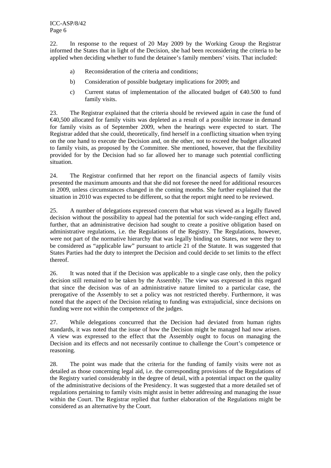22. In response to the request of 20 May 2009 by the Working Group the Registrar informed the States that in light of the Decision, she had been reconsidering the criteria to be applied when deciding whether to fund the detainee's family members' visits. That included:

- a) Reconsideration of the criteria and conditions;
- b) Consideration of possible budgetary implications for 2009; and
- c) Current status of implementation of the allocated budget of  $\epsilon$ 40.500 to fund family visits.

23. The Registrar explained that the criteria should be reviewed again in case the fund of  $\epsilon$ 40,500 allocated for family visits was depleted as a result of a possible increase in demand for family visits as of September 2009, when the hearings were expected to start. The Registrar added that she could, theoretically, find herself in a conflicting situation when trying on the one hand to execute the Decision and, on the other, not to exceed the budget allocated to family visits, as proposed by the Committee. She mentioned, however, that the flexibility provided for by the Decision had so far allowed her to manage such potential conflicting situation.

24. The Registrar confirmed that her report on the financial aspects of family visits presented the maximum amounts and that she did not foresee the need for additional resources in 2009, unless circumstances changed in the coming months. She further explained that the situation in 2010 was expected to be different, so that the report might need to be reviewed.

25. A number of delegations expressed concern that what was viewed as a legally flawed decision without the possibility to appeal had the potential for such wide-ranging effect and, further, that an administrative decision had sought to create a positive obligation based on administrative regulations, i.e. the Regulations of the Registry. The Regulations, however, were not part of the normative hierarchy that was legally binding on States, nor were they to be considered as "applicable law" pursuant to article 21 of the Statute. It was suggested that States Parties had the duty to interpret the Decision and could decide to set limits to the effect thereof.

26. It was noted that if the Decision was applicable to a single case only, then the policy decision still remained to be taken by the Assembly. The view was expressed in this regard that since the decision was of an administrative nature limited to a particular case, the prerogative of the Assembly to set a policy was not restricted thereby. Furthermore, it was noted that the aspect of the Decision relating to funding was extrajudicial, since decisions on funding were not within the competence of the judges.

27. While delegations concurred that the Decision had deviated from human rights standards, it was noted that the issue of how the Decision might be managed had now arisen. A view was expressed to the effect that the Assembly ought to focus on managing the Decision and its effects and not necessarily continue to challenge the Court's competence or reasoning.

28. The point was made that the criteria for the funding of family visits were not as detailed as those concerning legal aid, i.e. the corresponding provisions of the Regulations of the Registry varied considerably in the degree of detail, with a potential impact on the quality of the administrative decisions of the Presidency. It was suggested that a more detailed set of regulations pertaining to family visits might assist in better addressing and managing the issue within the Court. The Registrar replied that further elaboration of the Regulations might be considered as an alternative by the Court.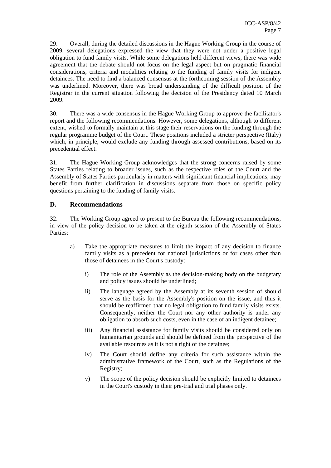29. Overall, during the detailed discussions in the Hague Working Group in the course of 2009, several delegations expressed the view that they were not under a positive legal obligation to fund family visits. While some delegations held different views, there was wide agreement that the debate should not focus on the legal aspect but on pragmatic financial considerations, criteria and modalities relating to the funding of family visits for indigent detainees. The need to find a balanced consensus at the forthcoming session of the Assembly was underlined. Moreover, there was broad understanding of the difficult position of the Registrar in the current situation following the decision of the Presidency dated 10 March 2009.

30. There was a wide consensus in the Hague Working Group to approve the facilitator's report and the following recommendations. However, some delegations, although to different extent, wished to formally maintain at this stage their reservations on the funding through the regular programme budget of the Court. These positions included a stricter perspective (Italy) which, in principle, would exclude any funding through assessed contributions, based on its precedential effect.

31. The Hague Working Group acknowledges that the strong concerns raised by some States Parties relating to broader issues, such as the respective roles of the Court and the Assembly of States Parties particularly in matters with significant financial implications, may benefit from further clarification in discussions separate from those on specific policy questions pertaining to the funding of family visits.

#### **D. Recommendations**

32. The Working Group agreed to present to the Bureau the following recommendations, in view of the policy decision to be taken at the eighth session of the Assembly of States Parties:

- a) Take the appropriate measures to limit the impact of any decision to finance family visits as a precedent for national jurisdictions or for cases other than those of detainees in the Court's custody:
	- i) The role of the Assembly as the decision-making body on the budgetary and policy issues should be underlined;
	- ii) The language agreed by the Assembly at its seventh session of should serve as the basis for the Assembly's position on the issue, and thus it should be reaffirmed that no legal obligation to fund family visits exists. Consequently, neither the Court nor any other authority is under any obligation to absorb such costs, even in the case of an indigent detainee;
	- iii) Any financial assistance for family visits should be considered only on humanitarian grounds and should be defined from the perspective of the available resources as it is not a right of the detainee;
	- iv) The Court should define any criteria for such assistance within the administrative framework of the Court, such as the Regulations of the Registry;
	- v) The scope of the policy decision should be explicitly limited to detainees in the Court's custody in their pre-trial and trial phases only.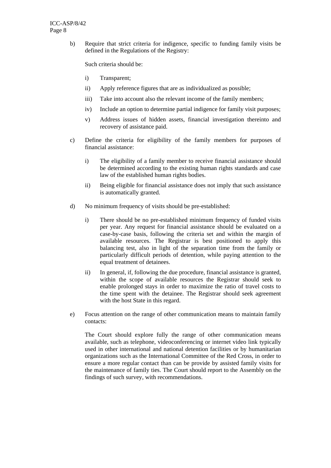b) Require that strict criteria for indigence, specific to funding family visits be defined in the Regulations of the Registry:

Such criteria should be:

- i) Transparent;
- ii) Apply reference figures that are as individualized as possible;
- iii) Take into account also the relevant income of the family members;
- iv) Include an option to determine partial indigence for family visit purposes;
- v) Address issues of hidden assets, financial investigation thereinto and recovery of assistance paid.
- c) Define the criteria for eligibility of the family members for purposes of financial assistance:
	- i) The eligibility of a family member to receive financial assistance should be determined according to the existing human rights standards and case law of the established human rights bodies.
	- ii) Being eligible for financial assistance does not imply that such assistance is automatically granted.
- d) No minimum frequency of visits should be pre-established:
	- i) There should be no pre-established minimum frequency of funded visits per year. Any request for financial assistance should be evaluated on a case-by-case basis, following the criteria set and within the margin of available resources. The Registrar is best positioned to apply this balancing test, also in light of the separation time from the family or particularly difficult periods of detention, while paying attention to the equal treatment of detainees.
	- ii) In general, if, following the due procedure, financial assistance is granted, within the scope of available resources the Registrar should seek to enable prolonged stays in order to maximize the ratio of travel costs to the time spent with the detainee. The Registrar should seek agreement with the host State in this regard.
- e) Focus attention on the range of other communication means to maintain family contacts:

The Court should explore fully the range of other communication means available, such as telephone, videoconferencing or internet video link typically used in other international and national detention facilities or by humanitarian organizations such as the International Committee of the Red Cross, in order to ensure a more regular contact than can be provide by assisted family visits for the maintenance of family ties. The Court should report to the Assembly on the findings of such survey, with recommendations.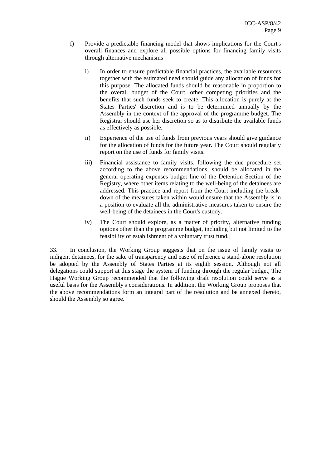- f) Provide a predictable financing model that shows implications for the Court's overall finances and explore all possible options for financing family visits through alternative mechanisms
	- i) In order to ensure predictable financial practices, the available resources together with the estimated need should guide any allocation of funds for this purpose. The allocated funds should be reasonable in proportion to the overall budget of the Court, other competing priorities and the benefits that such funds seek to create. This allocation is purely at the States Parties' discretion and is to be determined annually by the Assembly in the context of the approval of the programme budget. The Registrar should use her discretion so as to distribute the available funds as effectively as possible.
	- ii) Experience of the use of funds from previous years should give guidance for the allocation of funds for the future year. The Court should regularly report on the use of funds for family visits.
	- iii) Financial assistance to family visits, following the due procedure set according to the above recommendations, should be allocated in the general operating expenses budget line of the Detention Section of the Registry, where other items relating to the well-being of the detainees are addressed. This practice and report from the Court including the breakdown of the measures taken within would ensure that the Assembly is in a position to evaluate all the administrative measures taken to ensure the well-being of the detainees in the Court's custody.
	- iv) The Court should explore, as a matter of priority, alternative funding options other than the programme budget, including but not limited to the feasibility of establishment of a voluntary trust fund.]

33. In conclusion, the Working Group suggests that on the issue of family visits to indigent detainees, for the sake of transparency and ease of reference a stand-alone resolution be adopted by the Assembly of States Parties at its eighth session. Although not all delegations could support at this stage the system of funding through the regular budget, The Hague Working Group recommended that the following draft resolution could serve as a useful basis for the Assembly's considerations. In addition, the Working Group proposes that the above recommendations form an integral part of the resolution and be annexed thereto, should the Assembly so agree.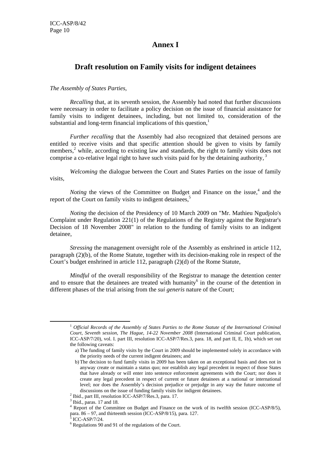## **Annex I**

## **Draft resolution on Family visits for indigent detainees**

#### *The Assembly of States Parties,*

*Recalling* that, at its seventh session, the Assembly had noted that further discussions were necessary in order to facilitate a policy decision on the issue of financial assistance for family visits to indigent detainees, including, but not limited to, consideration of the substantial and long-term financial implications of this question,<sup>1</sup>

*Further recalling that the Assembly had also recognized that detained persons are* entitled to receive visits and that specific attention should be given to visits by family members,<sup>2</sup> while, according to existing law and standards, the right to family visits does not comprise a co-relative legal right to have such visits paid for by the detaining authority.<sup>3</sup>

*Welcoming* the dialogue between the Court and States Parties on the issue of family visits,

*Noting* the views of the Committee on Budget and Finance on the issue,<sup>4</sup> and the report of the Court on family visits to indigent detainees,<sup>5</sup>

*Noting* the decision of the Presidency of 10 March 2009 on "Mr. Mathieu Ngudjolo's Complaint under Regulation 221(1) of the Regulations of the Registry against the Registrar's Decision of 18 November 2008" in relation to the funding of family visits to an indigent detainee,

*Stressing* the management oversight role of the Assembly as enshrined in article 112. paragraph (2)(b), of the Rome Statute, together with its decision-making role in respect of the Court's budget enshrined in article 112, paragraph (2)(d) of the Rome Statute,

*Mindful* of the overall responsibility of the Registrar to manage the detention center and to ensure that the detainees are treated with humanity $6$  in the course of the detention in different phases of the trial arising from the *sui generis* nature of the Court;

 <sup>1</sup> *Official Records of the Assembly of States Parties to the Rome Statute of the International Criminal Court, Seventh session, The Hague, 14-22 November 2008* (International Criminal Court publication, ICC-ASP/7/20), vol. I. part III, resolution ICC-ASP/7/Res.3, para. 18, and part II, E, 1b), which set out the following caveats:

a) The funding of family visits by the Court in 2009 should be implemented solely in accordance with the priority needs of the current indigent detainees; and

b) The decision to fund family visits in 2009 has been taken on an exceptional basis and does not in anyway create or maintain a status quo; nor establish any legal precedent in respect of those States that have already or will enter into sentence enforcement agreements with the Court; nor does it create any legal precedent in respect of current or future detainees at a national or international level; nor does the Assembly's decision prejudice or prejudge in any way the future outcome of discussions on the issue of funding family visits for indigent detainees. 2

 $<sup>2</sup>$  Ibid., part III, resolution ICC-ASP/7/Res.3, para. 17.</sup>

 $3$  Ibid., paras. 17 and 18.

<sup>4</sup> Report of the Committee on Budget and Finance on the work of its twelfth session (ICC-ASP/8/5), para. 86 – 97, and thirteenth session (ICC-ASP/8/15), para. 127. 5 ICC-ASP/7/24.

 $6$  Regulations 90 and 91 of the regulations of the Court.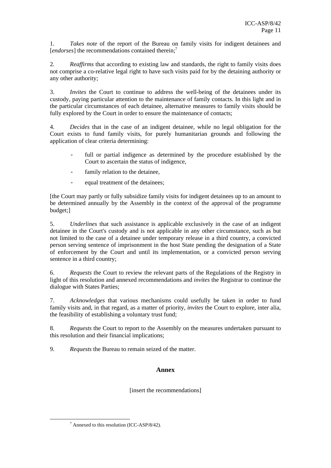1. *Takes note* of the report of the Bureau on family visits for indigent detainees and [*endorses*] the recommendations contained therein;<sup>7</sup>

2*. Reaffirms* that according to existing law and standards, the right to family visits does not comprise a co-relative legal right to have such visits paid for by the detaining authority or any other authority;

3. *Invites* the Court to continue to address the well-being of the detainees under its custody, paying particular attention to the maintenance of family contacts. In this light and in the particular circumstances of each detainee, alternative measures to family visits should be fully explored by the Court in order to ensure the maintenance of contacts;

4. *Decides* that in the case of an indigent detainee, while no legal obligation for the Court exists to fund family visits, for purely humanitarian grounds and following the application of clear criteria determining:

- full or partial indigence as determined by the procedure established by the Court to ascertain the status of indigence,
- family relation to the detainee,
- equal treatment of the detainees;

[the Court may partly or fully subsidize family visits for indigent detainees up to an amount to be determined annually by the Assembly in the context of the approval of the programme budget;]

5. *Underlines* that such assistance is applicable exclusively in the case of an indigent detainee in the Court's custody and is not applicable in any other circumstance, such as but not limited to the case of a detainee under temporary release in a third country, a convicted person serving sentence of imprisonment in the host State pending the designation of a State of enforcement by the Court and until its implementation, or a convicted person serving sentence in a third country;

6. *Requests* the Court to review the relevant parts of the Regulations of the Registry in light of this resolution and annexed recommendations and *invites* the Registrar to continue the dialogue with States Parties;

7. *Acknowledges* that various mechanisms could usefully be taken in order to fund family visits and, in that regard, as a matter of priority, *invites* the Court to explore, inter alia, the feasibility of establishing a voluntary trust fund;

8. *Requests* the Court to report to the Assembly on the measures undertaken pursuant to this resolution and their financial implications;

9. *Requests* the Bureau to remain seized of the matter.

#### **Annex**

[insert the recommendations]

 <sup>7</sup>  $^7$  Annexed to this resolution (ICC-ASP/8/42).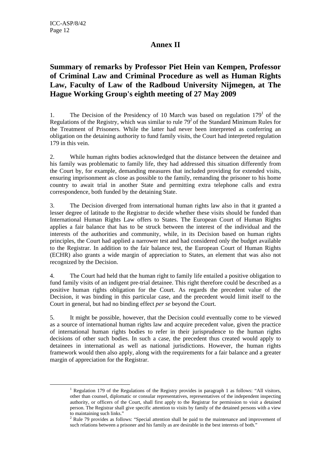## **Annex II**

# **Summary of remarks by Professor Piet Hein van Kempen, Professor of Criminal Law and Criminal Procedure as well as Human Rights Law, Faculty of Law of the Radboud University Nijmegen, at The Hague Working Group's eighth meeting of 27 May 2009**

1. The Decision of the Presidency of 10 March was based on regulation  $179<sup>1</sup>$  of the Regulations of the Registry, which was similar to rule  $79<sup>2</sup>$  of the Standard Minimum Rules for the Treatment of Prisoners. While the latter had never been interpreted as conferring an obligation on the detaining authority to fund family visits, the Court had interpreted regulation 179 in this vein.

2. While human rights bodies acknowledged that the distance between the detainee and his family was problematic to family life, they had addressed this situation differently from the Court by, for example, demanding measures that included providing for extended visits, ensuring imprisonment as close as possible to the family, remanding the prisoner to his home country to await trial in another State and permitting extra telephone calls and extra correspondence, both funded by the detaining State.

3. The Decision diverged from international human rights law also in that it granted a lesser degree of latitude to the Registrar to decide whether these visits should be funded than International Human Rights Law offers to States. The European Court of Human Rights applies a fair balance that has to be struck between the interest of the individual and the interests of the authorities and community, while, in its Decision based on human rights principles, the Court had applied a narrower test and had considered only the budget available to the Registrar. In addition to the fair balance test, the European Court of Human Rights (ECHR) also grants a wide margin of appreciation to States, an element that was also not recognized by the Decision.

4. The Court had held that the human right to family life entailed a positive obligation to fund family visits of an indigent pre-trial detainee. This right therefore could be described as a positive human rights obligation for the Court. As regards the precedent value of the Decision, it was binding in this particular case, and the precedent would limit itself to the Court in general, but had no binding effect *per se* beyond the Court.

5. It might be possible, however, that the Decision could eventually come to be viewed as a source of international human rights law and acquire precedent value, given the practice of international human rights bodies to refer in their jurisprudence to the human rights decisions of other such bodies. In such a case, the precedent thus created would apply to detainees in international as well as national jurisdictions. However, the human rights framework would then also apply, along with the requirements for a fair balance and a greater margin of appreciation for the Registrar.

 $\frac{1}{1}$ <sup>1</sup> Regulation 179 of the Regulations of the Registry provides in paragraph 1 as follows: "All visitors, other than counsel, diplomatic or consular representatives, representatives of the independent inspecting authority, or officers of the Court, shall first apply to the Registrar for permission to visit a detained person. The Registrar shall give specific attention to visits by family of the detained persons with a view to maintaining such links."

<sup>&</sup>lt;sup>2</sup> Rule 79 provides as follows: "Special attention shall be paid to the maintenance and improvement of such relations between a prisoner and his family as are desirable in the best interests of both."